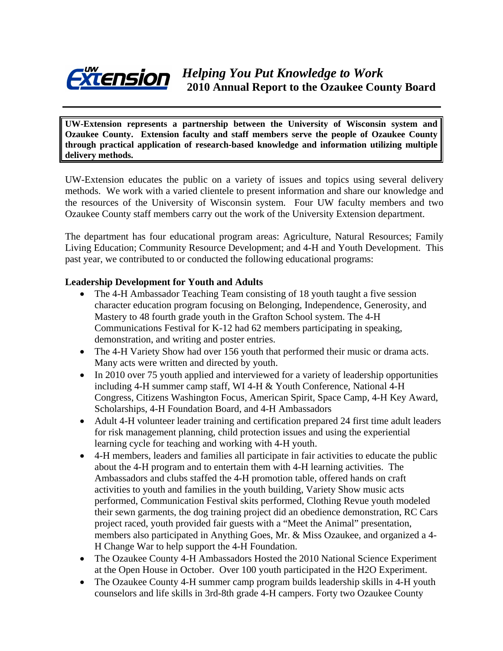

**UW-Extension represents a partnership between the University of Wisconsin system and Ozaukee County. Extension faculty and staff members serve the people of Ozaukee County through practical application of research-based knowledge and information utilizing multiple delivery methods.** 

UW-Extension educates the public on a variety of issues and topics using several delivery methods. We work with a varied clientele to present information and share our knowledge and the resources of the University of Wisconsin system. Four UW faculty members and two Ozaukee County staff members carry out the work of the University Extension department.

The department has four educational program areas: Agriculture, Natural Resources; Family Living Education; Community Resource Development; and 4-H and Youth Development. This past year, we contributed to or conducted the following educational programs:

### **Leadership Development for Youth and Adults**

- The 4-H Ambassador Teaching Team consisting of 18 youth taught a five session character education program focusing on Belonging, Independence, Generosity, and Mastery to 48 fourth grade youth in the Grafton School system. The 4-H Communications Festival for K-12 had 62 members participating in speaking, demonstration, and writing and poster entries.
- The 4-H Variety Show had over 156 youth that performed their music or drama acts. Many acts were written and directed by youth.
- In 2010 over 75 youth applied and interviewed for a variety of leadership opportunities including 4-H summer camp staff, WI 4-H & Youth Conference, National 4-H Congress, Citizens Washington Focus, American Spirit, Space Camp, 4-H Key Award, Scholarships, 4-H Foundation Board, and 4-H Ambassadors
- Adult 4-H volunteer leader training and certification prepared 24 first time adult leaders for risk management planning, child protection issues and using the experiential learning cycle for teaching and working with 4-H youth.
- 4-H members, leaders and families all participate in fair activities to educate the public about the 4-H program and to entertain them with 4-H learning activities. The Ambassadors and clubs staffed the 4-H promotion table, offered hands on craft activities to youth and families in the youth building, Variety Show music acts performed, Communication Festival skits performed, Clothing Revue youth modeled their sewn garments, the dog training project did an obedience demonstration, RC Cars project raced, youth provided fair guests with a "Meet the Animal" presentation, members also participated in Anything Goes, Mr. & Miss Ozaukee, and organized a 4- H Change War to help support the 4-H Foundation.
- The Ozaukee County 4-H Ambassadors Hosted the 2010 National Science Experiment at the Open House in October. Over 100 youth participated in the H2O Experiment.
- The Ozaukee County 4-H summer camp program builds leadership skills in 4-H youth counselors and life skills in 3rd-8th grade 4-H campers. Forty two Ozaukee County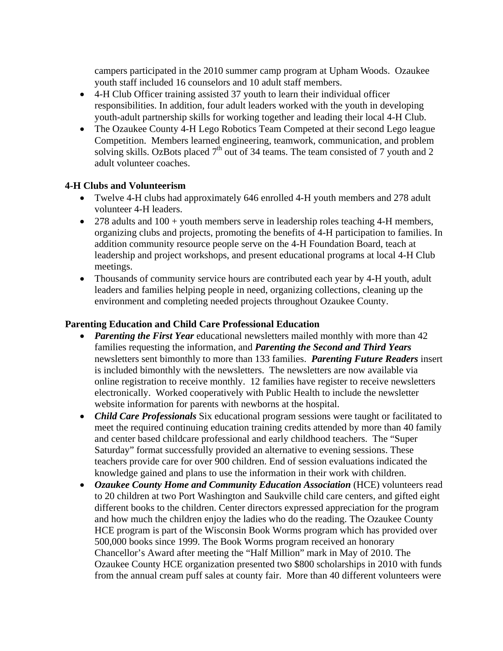campers participated in the 2010 summer camp program at Upham Woods. Ozaukee youth staff included 16 counselors and 10 adult staff members.

- 4-H Club Officer training assisted 37 youth to learn their individual officer responsibilities. In addition, four adult leaders worked with the youth in developing youth-adult partnership skills for working together and leading their local 4-H Club.
- The Ozaukee County 4-H Lego Robotics Team Competed at their second Lego league Competition. Members learned engineering, teamwork, communication, and problem solving skills. OzBots placed  $7<sup>th</sup>$  out of 34 teams. The team consisted of 7 youth and 2 adult volunteer coaches.

# **4-H Clubs and Volunteerism**

- Twelve 4-H clubs had approximately 646 enrolled 4-H youth members and 278 adult volunteer 4-H leaders.
- 278 adults and 100 + youth members serve in leadership roles teaching 4-H members, organizing clubs and projects, promoting the benefits of 4-H participation to families. In addition community resource people serve on the 4-H Foundation Board, teach at leadership and project workshops, and present educational programs at local 4-H Club meetings.
- Thousands of community service hours are contributed each year by 4-H youth, adult leaders and families helping people in need, organizing collections, cleaning up the environment and completing needed projects throughout Ozaukee County.

### **Parenting Education and Child Care Professional Education**

- *Parenting the First Year* educational newsletters mailed monthly with more than 42 families requesting the information, and *Parenting the Second and Third Years* newsletters sent bimonthly to more than 133 families. *Parenting Future Readers* insert is included bimonthly with the newsletters. The newsletters are now available via online registration to receive monthly. 12 families have register to receive newsletters electronically. Worked cooperatively with Public Health to include the newsletter website information for parents with newborns at the hospital.
- *Child Care Professionals* Six educational program sessions were taught or facilitated to meet the required continuing education training credits attended by more than 40 family and center based childcare professional and early childhood teachers. The "Super Saturday" format successfully provided an alternative to evening sessions. These teachers provide care for over 900 children. End of session evaluations indicated the knowledge gained and plans to use the information in their work with children.
- *Ozaukee County Home and Community Education Association* (HCE) volunteers read to 20 children at two Port Washington and Saukville child care centers, and gifted eight different books to the children. Center directors expressed appreciation for the program and how much the children enjoy the ladies who do the reading. The Ozaukee County HCE program is part of the Wisconsin Book Worms program which has provided over 500,000 books since 1999. The Book Worms program received an honorary Chancellor's Award after meeting the "Half Million" mark in May of 2010. The Ozaukee County HCE organization presented two \$800 scholarships in 2010 with funds from the annual cream puff sales at county fair. More than 40 different volunteers were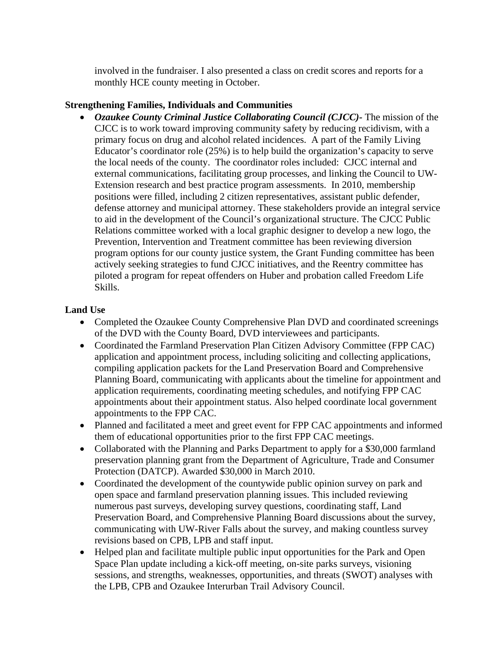involved in the fundraiser. I also presented a class on credit scores and reports for a monthly HCE county meeting in October.

### **Strengthening Families, Individuals and Communities**

• *Ozaukee County Criminal Justice Collaborating Council (CJCC)-* The mission of the CJCC is to work toward improving community safety by reducing recidivism, with a primary focus on drug and alcohol related incidences. A part of the Family Living Educator's coordinator role (25%) is to help build the organization's capacity to serve the local needs of the county. The coordinator roles included: CJCC internal and external communications, facilitating group processes, and linking the Council to UW-Extension research and best practice program assessments. In 2010, membership positions were filled, including 2 citizen representatives, assistant public defender, defense attorney and municipal attorney. These stakeholders provide an integral service to aid in the development of the Council's organizational structure. The CJCC Public Relations committee worked with a local graphic designer to develop a new logo, the Prevention, Intervention and Treatment committee has been reviewing diversion program options for our county justice system, the Grant Funding committee has been actively seeking strategies to fund CJCC initiatives, and the Reentry committee has piloted a program for repeat offenders on Huber and probation called Freedom Life Skills.

### **Land Use**

- Completed the Ozaukee County Comprehensive Plan DVD and coordinated screenings of the DVD with the County Board, DVD interviewees and participants.
- Coordinated the Farmland Preservation Plan Citizen Advisory Committee (FPP CAC) application and appointment process, including soliciting and collecting applications, compiling application packets for the Land Preservation Board and Comprehensive Planning Board, communicating with applicants about the timeline for appointment and application requirements, coordinating meeting schedules, and notifying FPP CAC appointments about their appointment status. Also helped coordinate local government appointments to the FPP CAC.
- Planned and facilitated a meet and greet event for FPP CAC appointments and informed them of educational opportunities prior to the first FPP CAC meetings.
- Collaborated with the Planning and Parks Department to apply for a \$30,000 farmland preservation planning grant from the Department of Agriculture, Trade and Consumer Protection (DATCP). Awarded \$30,000 in March 2010.
- Coordinated the development of the countywide public opinion survey on park and open space and farmland preservation planning issues. This included reviewing numerous past surveys, developing survey questions, coordinating staff, Land Preservation Board, and Comprehensive Planning Board discussions about the survey, communicating with UW-River Falls about the survey, and making countless survey revisions based on CPB, LPB and staff input.
- Helped plan and facilitate multiple public input opportunities for the Park and Open Space Plan update including a kick-off meeting, on-site parks surveys, visioning sessions, and strengths, weaknesses, opportunities, and threats (SWOT) analyses with the LPB, CPB and Ozaukee Interurban Trail Advisory Council.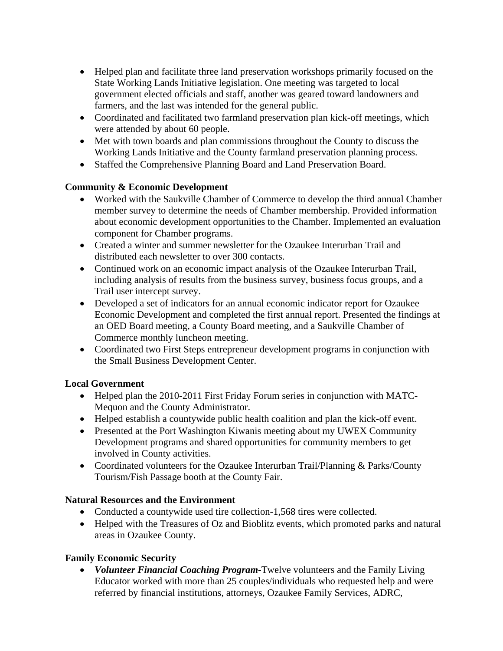- Helped plan and facilitate three land preservation workshops primarily focused on the State Working Lands Initiative legislation. One meeting was targeted to local government elected officials and staff, another was geared toward landowners and farmers, and the last was intended for the general public.
- Coordinated and facilitated two farmland preservation plan kick-off meetings, which were attended by about 60 people.
- Met with town boards and plan commissions throughout the County to discuss the Working Lands Initiative and the County farmland preservation planning process.
- Staffed the Comprehensive Planning Board and Land Preservation Board.

# **Community & Economic Development**

- Worked with the Saukville Chamber of Commerce to develop the third annual Chamber member survey to determine the needs of Chamber membership. Provided information about economic development opportunities to the Chamber. Implemented an evaluation component for Chamber programs.
- Created a winter and summer newsletter for the Ozaukee Interurban Trail and distributed each newsletter to over 300 contacts.
- Continued work on an economic impact analysis of the Ozaukee Interurban Trail, including analysis of results from the business survey, business focus groups, and a Trail user intercept survey.
- Developed a set of indicators for an annual economic indicator report for Ozaukee Economic Development and completed the first annual report. Presented the findings at an OED Board meeting, a County Board meeting, and a Saukville Chamber of Commerce monthly luncheon meeting.
- Coordinated two First Steps entrepreneur development programs in conjunction with the Small Business Development Center.

# **Local Government**

- Helped plan the 2010-2011 First Friday Forum series in conjunction with MATC-Mequon and the County Administrator.
- Helped establish a countywide public health coalition and plan the kick-off event.
- Presented at the Port Washington Kiwanis meeting about my UWEX Community Development programs and shared opportunities for community members to get involved in County activities.
- Coordinated volunteers for the Ozaukee Interurban Trail/Planning & Parks/County Tourism/Fish Passage booth at the County Fair.

# **Natural Resources and the Environment**

- Conducted a countywide used tire collection-1,568 tires were collected.
- Helped with the Treasures of Oz and Bioblitz events, which promoted parks and natural areas in Ozaukee County.

# **Family Economic Security**

• *Volunteer Financial Coaching Program*-Twelve volunteers and the Family Living Educator worked with more than 25 couples/individuals who requested help and were referred by financial institutions, attorneys, Ozaukee Family Services, ADRC,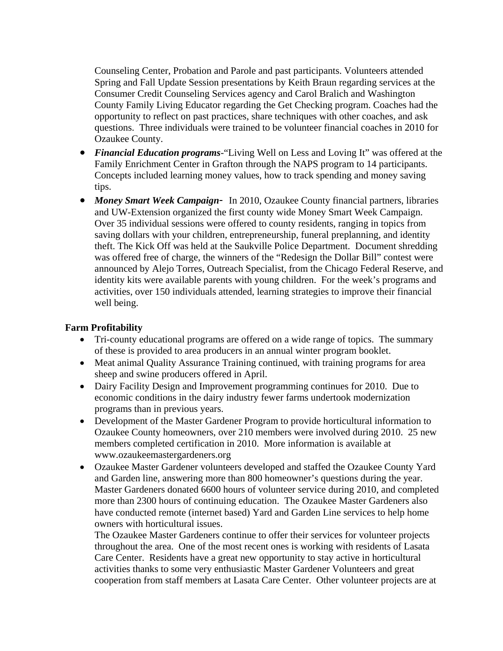Counseling Center, Probation and Parole and past participants. Volunteers attended Spring and Fall Update Session presentations by Keith Braun regarding services at the Consumer Credit Counseling Services agency and Carol Bralich and Washington County Family Living Educator regarding the Get Checking program. Coaches had the opportunity to reflect on past practices, share techniques with other coaches, and ask questions. Three individuals were trained to be volunteer financial coaches in 2010 for Ozaukee County.

- *Financial Education programs*-"Living Well on Less and Loving It" was offered at the Family Enrichment Center in Grafton through the NAPS program to 14 participants. Concepts included learning money values, how to track spending and money saving tips.
- *Money Smart Week Campaign* In 2010, Ozaukee County financial partners, libraries and UW-Extension organized the first county wide Money Smart Week Campaign. Over 35 individual sessions were offered to county residents, ranging in topics from saving dollars with your children, entrepreneurship, funeral preplanning, and identity theft. The Kick Off was held at the Saukville Police Department. Document shredding was offered free of charge, the winners of the "Redesign the Dollar Bill" contest were announced by Alejo Torres, Outreach Specialist, from the Chicago Federal Reserve, and identity kits were available parents with young children. For the week's programs and activities, over 150 individuals attended, learning strategies to improve their financial well being.

#### **Farm Profitability**

- Tri-county educational programs are offered on a wide range of topics. The summary of these is provided to area producers in an annual winter program booklet.
- Meat animal Quality Assurance Training continued, with training programs for area sheep and swine producers offered in April.
- Dairy Facility Design and Improvement programming continues for 2010. Due to economic conditions in the dairy industry fewer farms undertook modernization programs than in previous years.
- Development of the Master Gardener Program to provide horticultural information to Ozaukee County homeowners, over 210 members were involved during 2010. 25 new members completed certification in 2010. More information is available at www.ozaukeemastergardeners.org
- Ozaukee Master Gardener volunteers developed and staffed the Ozaukee County Yard and Garden line, answering more than 800 homeowner's questions during the year. Master Gardeners donated 6600 hours of volunteer service during 2010, and completed more than 2300 hours of continuing education. The Ozaukee Master Gardeners also have conducted remote (internet based) Yard and Garden Line services to help home owners with horticultural issues.

The Ozaukee Master Gardeners continue to offer their services for volunteer projects throughout the area. One of the most recent ones is working with residents of Lasata Care Center. Residents have a great new opportunity to stay active in horticultural activities thanks to some very enthusiastic Master Gardener Volunteers and great cooperation from staff members at Lasata Care Center. Other volunteer projects are at